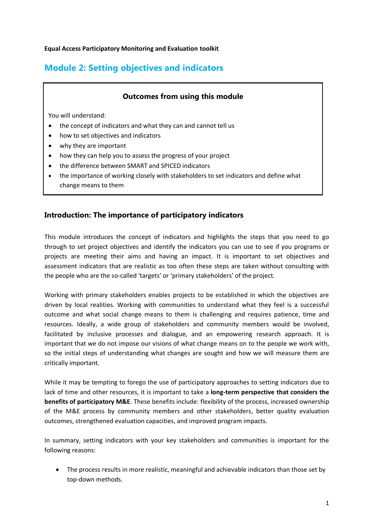#### **Equal Access Participatory Monitoring and Evaluation toolkit**

# **Module 2: Setting objectives and indicators**

# **Outcomes from using this module**

You will understand:

- the concept of indicators and what they can and cannot tell us
- how to set objectives and indicators
- why they are important
- how they can help you to assess the progress of your project
- the difference between SMART and SPICED indicators
- the importance of working closely with stakeholders to set indicators and define what change means to them

# **Introduction: The importance of participatory indicators**

This module introduces the concept of indicators and highlights the steps that you need to go through to set project objectives and identify the indicators you can use to see if you programs or projects are meeting their aims and having an impact. It is important to set objectives and assessment indicators that are realistic as too often these steps are taken without consulting with the people who are the so-called 'targets' or 'primary stakeholders' of the project.

Working with primary stakeholders enables projects to be established in which the objectives are driven by local realities. Working with communities to understand what they feel is a successful outcome and what social change means to them is challenging and requires patience, time and resources. Ideally, a wide group of stakeholders and community members would be involved, facilitated by inclusive processes and dialogue, and an empowering research approach. It is important that we do not impose our visions of what change means on to the people we work with, so the initial steps of understanding what changes are sought and how we will measure them are critically important.

While it may be tempting to forego the use of participatory approaches to setting indicators due to lack of time and other resources, it is important to take a **long-term perspective that considers the benefits of participatory M&E**. These benefits include: flexibility of the process, increased ownership of the M&E process by community members and other stakeholders, better quality evaluation outcomes, strengthened evaluation capacities, and improved program impacts.

In summary, setting indicators with your key stakeholders and communities is important for the following reasons:

• The process results in more realistic, meaningful and achievable indicators than those set by top-down methods.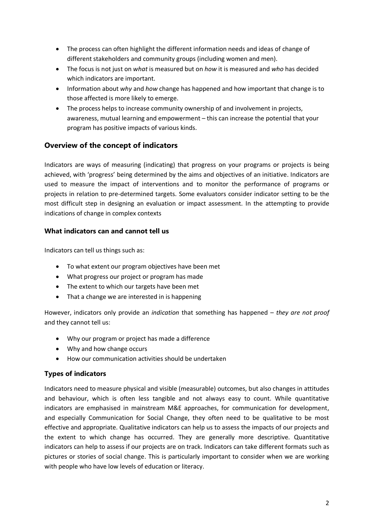- The process can often highlight the different information needs and ideas of change of different stakeholders and community groups (including women and men).
- The focus is not just on *what* is measured but on *how* it is measured and *who* has decided which indicators are important.
- Information about *why* and *how* change has happened and how important that change is to those affected is more likely to emerge.
- The process helps to increase community ownership of and involvement in projects, awareness, mutual learning and empowerment – this can increase the potential that your program has positive impacts of various kinds.

# **Overview of the concept of indicators**

Indicators are ways of measuring (indicating) that progress on your programs or projects is being achieved, with 'progress' being determined by the aims and objectives of an initiative. Indicators are used to measure the impact of interventions and to monitor the performance of programs or projects in relation to pre-determined targets. Some evaluators consider indicator setting to be the most difficult step in designing an evaluation or impact assessment. In the attempting to provide indications of change in complex contexts

# **What indicators can and cannot tell us**

Indicators can tell us things such as:

- To what extent our program objectives have been met
- What progress our project or program has made
- The extent to which our targets have been met
- That a change we are interested in is happening

However, indicators only provide an *indication* that something has happened – *they are not proof* and they cannot tell us:

- Why our program or project has made a difference
- Why and how change occurs
- How our communication activities should be undertaken

# **Types of indicators**

Indicators need to measure physical and visible (measurable) outcomes, but also changes in attitudes and behaviour, which is often less tangible and not always easy to count. While quantitative indicators are emphasised in mainstream M&E approaches, for communication for development, and especially Communication for Social Change, they often need to be qualitative to be most effective and appropriate. Qualitative indicators can help us to assess the impacts of our projects and the extent to which change has occurred. They are generally more descriptive. Quantitative indicators can help to assess if our projects are on track. Indicators can take different formats such as pictures or stories of social change. This is particularly important to consider when we are working with people who have low levels of education or literacy.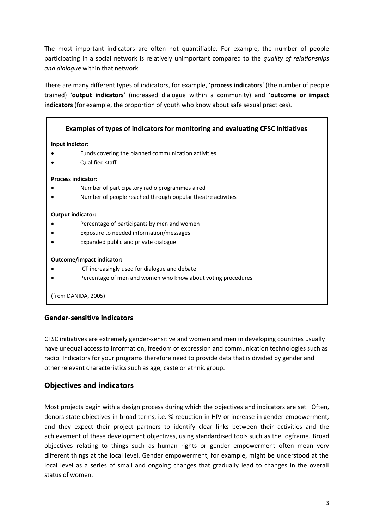The most important indicators are often not quantifiable. For example, the number of people participating in a social network is relatively unimportant compared to the *quality of relationships and dialogue* within that network.

There are many different types of indicators, for example, '**process indicators**' (the number of people trained) '**output indicators**' (increased dialogue within a community) and '**outcome or impact indicators** (for example, the proportion of youth who know about safe sexual practices).

|                           | Examples of types of indicators for monitoring and evaluating CFSC initiatives |
|---------------------------|--------------------------------------------------------------------------------|
| Input indictor:           |                                                                                |
|                           | Funds covering the planned communication activities                            |
|                           | Qualified staff                                                                |
| <b>Process indicator:</b> |                                                                                |
|                           | Number of participatory radio programmes aired                                 |
|                           | Number of people reached through popular theatre activities                    |
| Output indicator:         |                                                                                |
|                           | Percentage of participants by men and women                                    |
|                           | Exposure to needed information/messages                                        |
|                           | Expanded public and private dialogue                                           |
| Outcome/impact indicator: |                                                                                |
|                           | ICT increasingly used for dialogue and debate                                  |
|                           | Percentage of men and women who know about voting procedures                   |
| (from DANIDA, 2005)       |                                                                                |

# **Gender-sensitive indicators**

CFSC initiatives are extremely gender-sensitive and women and men in developing countries usually have unequal access to information, freedom of expression and communication technologies such as radio. Indicators for your programs therefore need to provide data that is divided by gender and other relevant characteristics such as age, caste or ethnic group.

# **Objectives and indicators**

Most projects begin with a design process during which the objectives and indicators are set. Often, donors state objectives in broad terms, i.e. % reduction in HIV or increase in gender empowerment, and they expect their project partners to identify clear links between their activities and the achievement of these development objectives, using standardised tools such as the logframe. Broad objectives relating to things such as human rights or gender empowerment often mean very different things at the local level. Gender empowerment, for example, might be understood at the local level as a series of small and ongoing changes that gradually lead to changes in the overall status of women.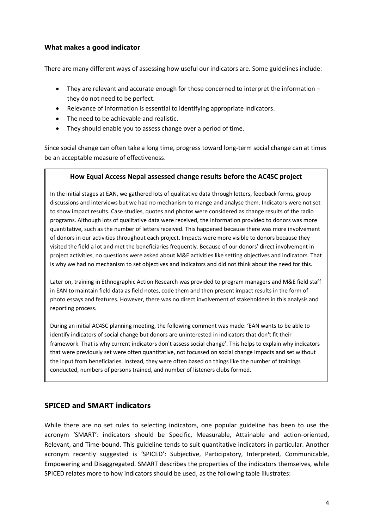## **What makes a good indicator**

There are many different ways of assessing how useful our indicators are. Some guidelines include:

- They are relevant and accurate enough for those concerned to interpret the information they do not need to be perfect.
- Relevance of information is essential to identifying appropriate indicators.
- The need to be achievable and realistic.
- They should enable you to assess change over a period of time.

Since social change can often take a long time, progress toward long-term social change can at times be an acceptable measure of effectiveness.

#### **How Equal Access Nepal assessed change results before the AC4SC project**

In the initial stages at EAN, we gathered lots of qualitative data through letters, feedback forms, group discussions and interviews but we had no mechanism to mange and analyse them. Indicators were not set to show impact results. Case studies, quotes and photos were considered as change results of the radio programs. Although lots of qualitative data were received, the information provided to donors was more quantitative, such as the number of letters received. This happened because there was more involvement of donors in our activities throughout each project. Impacts were more visible to donors because they visited the field a lot and met the beneficiaries frequently. Because of our donors' direct involvement in project activities, no questions were asked about M&E activities like setting objectives and indicators. That is why we had no mechanism to set objectives and indicators and did not think about the need for this.

Later on, training in Ethnographic Action Research was provided to program managers and M&E field staff in EAN to maintain field data as field notes, code them and then present impact results in the form of photo essays and features. However, there was no direct involvement of stakeholders in this analysis and reporting process.

During an initial AC4SC planning meeting, the following comment was made: 'EAN wants to be able to identify indicators of social change but donors are uninterested in indicators that don't fit their framework. That is why current indicators don't assess social change'. This helps to explain why indicators that were previously set were often quantitative, not focussed on social change impacts and set without the input from beneficiaries. Instead, they were often based on things like the number of trainings conducted, numbers of persons trained, and number of listeners clubs formed.

### **SPICED and SMART indicators**

While there are no set rules to selecting indicators, one popular guideline has been to use the acronym 'SMART': indicators should be Specific, Measurable, Attainable and action-oriented, Relevant, and Time-bound. This guideline tends to suit quantitative indicators in particular. Another acronym recently suggested is 'SPICED': Subjective, Participatory, Interpreted, Communicable, Empowering and Disaggregated. SMART describes the properties of the indicators themselves, while SPICED relates more to how indicators should be used, as the following table illustrates: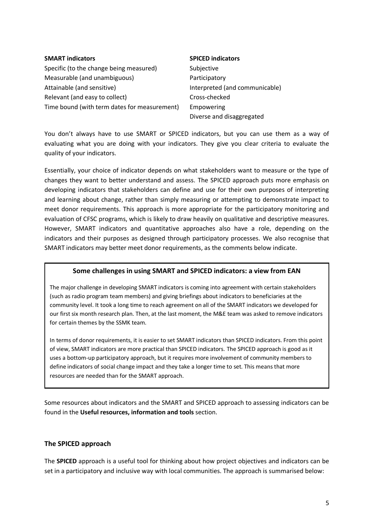# **SMART indicators SPICED indicators** Specific (to the change being measured) Subjective Measurable (and unambiguous) example and the Participatory Attainable (and sensitive) Interpreted (and communicable) Relevant (and easy to collect) Cross-checked Time bound (with term dates for measurement) Empowering

Diverse and disaggregated

You don't always have to use SMART or SPICED indicators, but you can use them as a way of evaluating what you are doing with your indicators. They give you clear criteria to evaluate the quality of your indicators.

Essentially, your choice of indicator depends on what stakeholders want to measure or the type of changes they want to better understand and assess. The SPICED approach puts more emphasis on developing indicators that stakeholders can define and use for their own purposes of interpreting and learning about change, rather than simply measuring or attempting to demonstrate impact to meet donor requirements. This approach is more appropriate for the participatory monitoring and evaluation of CFSC programs, which is likely to draw heavily on qualitative and descriptive measures. However, SMART indicators and quantitative approaches also have a role, depending on the indicators and their purposes as designed through participatory processes. We also recognise that SMART indicators may better meet donor requirements, as the comments below indicate.

# **Some challenges in using SMART and SPICED indicators: a view from EAN**

The major challenge in developing SMART indicators is coming into agreement with certain stakeholders (such as radio program team members) and giving briefings about indicators to beneficiaries at the community level. It took a long time to reach agreement on all of the SMART indicators we developed for our first six month research plan. Then, at the last moment, the M&E team was asked to remove indicators for certain themes by the SSMK team.

In terms of donor requirements, it is easier to set SMART indicators than SPICED indicators. From this point of view, SMART indicators are more practical than SPICED indicators. The SPICED approach is good as it uses a bottom-up participatory approach, but it requires more involvement of community members to define indicators of social change impact and they take a longer time to set. This means that more resources are needed than for the SMART approach.

Some resources about indicators and the SMART and SPICED approach to assessing indicators can be found in the **Useful resources, information and tools** section.

# **The SPICED approach**

The **SPICED** approach is a useful tool for thinking about how project objectives and indicators can be set in a participatory and inclusive way with local communities. The approach is summarised below: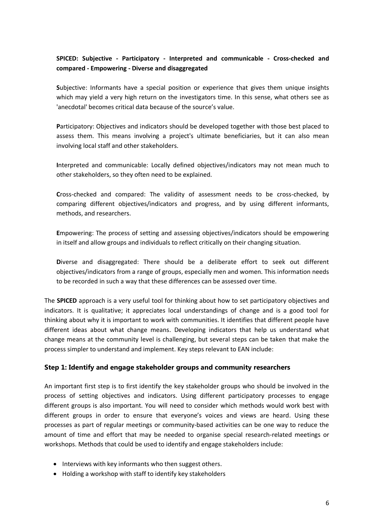# **SPICED: Subjective - Participatory - Interpreted and communicable - Cross-checked and compared - Empowering - Diverse and disaggregated**

**S**ubjective: Informants have a special position or experience that gives them unique insights which may yield a very high return on the investigators time. In this sense, what others see as 'anecdotal' becomes critical data because of the source's value.

**P**articipatory: Objectives and indicators should be developed together with those best placed to assess them. This means involving a project's ultimate beneficiaries, but it can also mean involving local staff and other stakeholders.

**I**nterpreted and communicable: Locally defined objectives/indicators may not mean much to other stakeholders, so they often need to be explained.

**C**ross-checked and compared: The validity of assessment needs to be cross-checked, by comparing different objectives/indicators and progress, and by using different informants, methods, and researchers.

**E**mpowering: The process of setting and assessing objectives/indicators should be empowering in itself and allow groups and individuals to reflect critically on their changing situation.

**D**iverse and disaggregated: There should be a deliberate effort to seek out different objectives/indicators from a range of groups, especially men and women. This information needs to be recorded in such a way that these differences can be assessed over time.

The **SPICED** approach is a very useful tool for thinking about how to set participatory objectives and indicators. It is qualitative; it appreciates local understandings of change and is a good tool for thinking about why it is important to work with communities. It identifies that different people have different ideas about what change means. Developing indicators that help us understand what change means at the community level is challenging, but several steps can be taken that make the process simpler to understand and implement. Key steps relevant to EAN include:

### **Step 1: Identify and engage stakeholder groups and community researchers**

An important first step is to first identify the key stakeholder groups who should be involved in the process of setting objectives and indicators. Using different participatory processes to engage different groups is also important. You will need to consider which methods would work best with different groups in order to ensure that everyone's voices and views are heard. Using these processes as part of regular meetings or community-based activities can be one way to reduce the amount of time and effort that may be needed to organise special research-related meetings or workshops. Methods that could be used to identify and engage stakeholders include:

- Interviews with key informants who then suggest others.
- Holding a workshop with staff to identify key stakeholders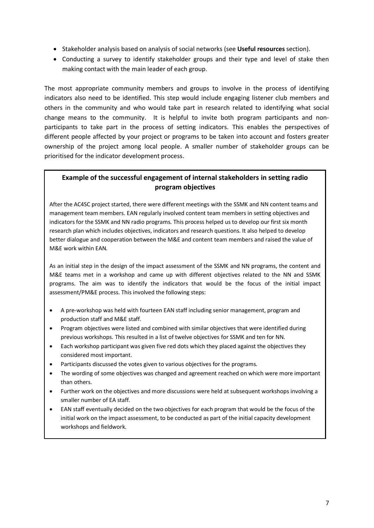- Stakeholder analysis based on analysis of social networks (see **Useful resources** section).
- Conducting a survey to identify stakeholder groups and their type and level of stake then making contact with the main leader of each group.

The most appropriate community members and groups to involve in the process of identifying indicators also need to be identified. This step would include engaging listener club members and others in the community and who would take part in research related to identifying what social change means to the community. It is helpful to invite both program participants and nonparticipants to take part in the process of setting indicators. This enables the perspectives of different people affected by your project or programs to be taken into account and fosters greater ownership of the project among local people. A smaller number of stakeholder groups can be prioritised for the indicator development process.

# **Example of the successful engagement of internal stakeholders in setting radio program objectives**

After the AC4SC project started, there were different meetings with the SSMK and NN content teams and management team members. EAN regularly involved content team members in setting objectives and indicators for the SSMK and NN radio programs. This process helped us to develop our first six month research plan which includes objectives, indicators and research questions. It also helped to develop better dialogue and cooperation between the M&E and content team members and raised the value of M&E work within EAN.

As an initial step in the design of the impact assessment of the SSMK and NN programs, the content and M&E teams met in a workshop and came up with different objectives related to the NN and SSMK programs. The aim was to identify the indicators that would be the focus of the initial impact assessment/PM&E process. This involved the following steps:

- A pre-workshop was held with fourteen EAN staff including senior management, program and production staff and M&E staff.
- Program objectives were listed and combined with similar objectives that were identified during previous workshops. This resulted in a list of twelve objectives for SSMK and ten for NN.
- Each workshop participant was given five red dots which they placed against the objectives they considered most important.
- Participants discussed the votes given to various objectives for the programs.
- The wording of some objectives was changed and agreement reached on which were more important than others.
- Further work on the objectives and more discussions were held at subsequent workshops involving a smaller number of EA staff.
- EAN staff eventually decided on the two objectives for each program that would be the focus of the initial work on the impact assessment, to be conducted as part of the initial capacity development workshops and fieldwork.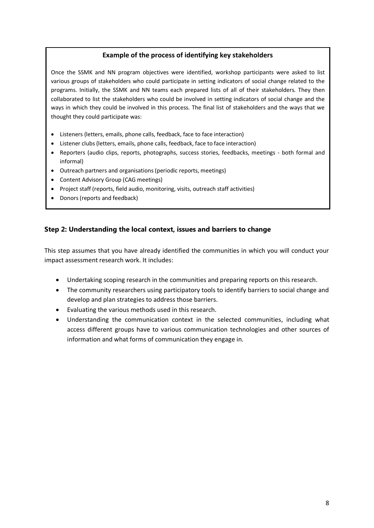## **Example of the process of identifying key stakeholders**

Once the SSMK and NN program objectives were identified, workshop participants were asked to list various groups of stakeholders who could participate in setting indicators of social change related to the programs. Initially, the SSMK and NN teams each prepared lists of all of their stakeholders. They then collaborated to list the stakeholders who could be involved in setting indicators of social change and the ways in which they could be involved in this process. The final list of stakeholders and the ways that we thought they could participate was:

- Listeners (letters, emails, phone calls, feedback, face to face interaction)
- Listener clubs (letters, emails, phone calls, feedback, face to face interaction)
- Reporters (audio clips, reports, photographs, success stories, feedbacks, meetings both formal and informal)
- Outreach partners and organisations (periodic reports, meetings)
- Content Advisory Group (CAG meetings)
- Project staff (reports, field audio, monitoring, visits, outreach staff activities)
- Donors (reports and feedback)

# **Step 2: Understanding the local context, issues and barriers to change**

This step assumes that you have already identified the communities in which you will conduct your impact assessment research work. It includes:

- Undertaking scoping research in the communities and preparing reports on this research.
- The community researchers using participatory tools to identify barriers to social change and develop and plan strategies to address those barriers.
- Evaluating the various methods used in this research.
- Understanding the communication context in the selected communities, including what access different groups have to various communication technologies and other sources of information and what forms of communication they engage in.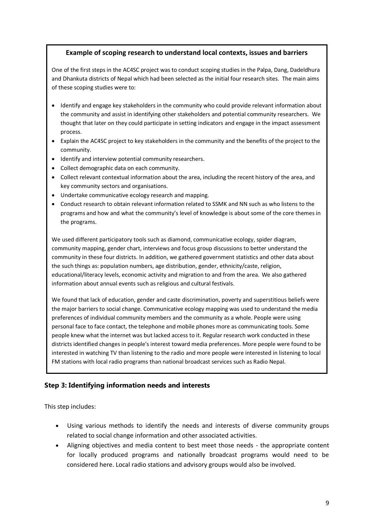### **Example of scoping research to understand local contexts, issues and barriers**

One of the first steps in the AC4SC project was to conduct scoping studies in the Palpa, Dang, Dadeldhura and Dhankuta districts of Nepal which had been selected as the initial four research sites. The main aims of these scoping studies were to:

- Identify and engage key stakeholders in the community who could provide relevant information about the community and assist in identifying other stakeholders and potential community researchers. We thought that later on they could participate in setting indicators and engage in the impact assessment process.
- Explain the AC4SC project to key stakeholders in the community and the benefits of the project to the community.
- $\bullet$  Identify and interview potential community researchers.
- Collect demographic data on each community.
- Collect relevant contextual information about the area, including the recent history of the area, and key community sectors and organisations.
- Undertake communicative ecology research and mapping.
- Conduct research to obtain relevant information related to SSMK and NN such as who listens to the programs and how and what the community's level of knowledge is about some of the core themes in the programs.

We used different participatory tools such as diamond, communicative ecology, spider diagram, community mapping, gender chart, interviews and focus group discussions to better understand the community in these four districts. In addition, we gathered government statistics and other data about the such things as: population numbers, age distribution, gender, ethnicity/caste, religion, educational/literacy levels, economic activity and migration to and from the area. We also gathered information about annual events such as religious and cultural festivals.

We found that lack of education, gender and caste discrimination, poverty and superstitious beliefs were the major barriers to social change. Communicative ecology mapping was used to understand the media preferences of individual community members and the community as a whole. People were using personal face to face contact, the telephone and mobile phones more as communicating tools. Some people knew what the internet was but lacked access to it. Regular research work conducted in these districts identified changes in people's interest toward media preferences. More people were found to be interested in watching TV than listening to the radio and more people were interested in listening to local FM stations with local radio programs than national broadcast services such as Radio Nepal.

# **Step 3: Identifying information needs and interests**

This step includes:

- Using various methods to identify the needs and interests of diverse community groups related to social change information and other associated activities.
- Aligning objectives and media content to best meet those needs the appropriate content for locally produced programs and nationally broadcast programs would need to be considered here. Local radio stations and advisory groups would also be involved.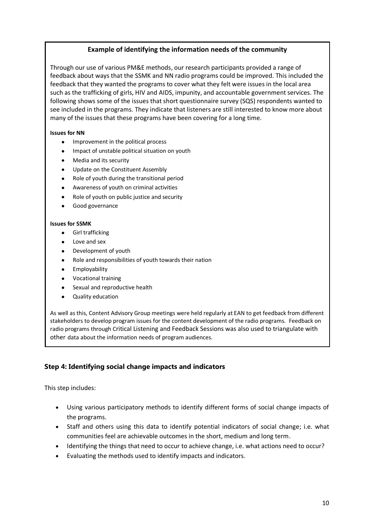# **Example of identifying the information needs of the community**

Through our use of various PM&E methods, our research participants provided a range of feedback about ways that the SSMK and NN radio programs could be improved. This included the feedback that they wanted the programs to cover what they felt were issues in the local area such as the trafficking of girls, HIV and AIDS, impunity, and accountable government services. The following shows some of the issues that short questionnaire survey (SQS) respondents wanted to see included in the programs. They indicate that listeners are still interested to know more about many of the issues that these programs have been covering for a long time.

#### **Issues for NN**

- Improvement in the political process
- Impact of unstable political situation on youth
- Media and its security
- Update on the Constituent Assembly
- Role of youth during the transitional period
- Awareness of youth on criminal activities
- Role of youth on public justice and security
- Good governance

#### **Issues for SSMK**

- **•** Girl trafficking
- Love and sex
- Development of youth
- Role and responsibilities of youth towards their nation
- Employability
- Vocational training
- Sexual and reproductive health
- Quality education

As well as this, Content Advisory Group meetings were held regularly at EAN to get feedback from different stakeholders to develop program issues for the content development of the radio programs. Feedback on radio programs through Critical Listening and Feedback Sessions was also used to triangulate with other data about the information needs of program audiences.

# **Step 4: Identifying social change impacts and indicators**

This step includes:

- Using various participatory methods to identify different forms of social change impacts of the programs.
- Staff and others using this data to identify potential indicators of social change; i.e. what communities feel are achievable outcomes in the short, medium and long term.
- Identifying the things that need to occur to achieve change, i.e. what actions need to occur?
- Evaluating the methods used to identify impacts and indicators.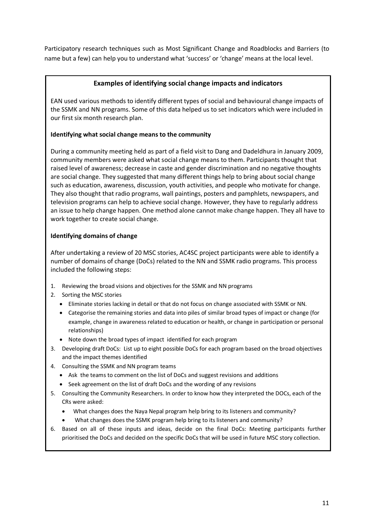Participatory research techniques such as Most Significant Change and Roadblocks and Barriers (to name but a few) can help you to understand what 'success' or 'change' means at the local level.

# **Examples of identifying social change impacts and indicators**

EAN used various methods to identify different types of social and behavioural change impacts of the SSMK and NN programs. Some of this data helped us to set indicators which were included in our first six month research plan.

### **Identifying what social change means to the community**

During a community meeting held as part of a field visit to Dang and Dadeldhura in January 2009, community members were asked what social change means to them. Participants thought that raised level of awareness; decrease in caste and gender discrimination and no negative thoughts are social change. They suggested that many different things help to bring about social change such as education, awareness, discussion, youth activities, and people who motivate for change. They also thought that radio programs, wall paintings, posters and pamphlets, newspapers, and television programs can help to achieve social change. However, they have to regularly address an issue to help change happen. One method alone cannot make change happen. They all have to work together to create social change.

### **Identifying domains of change**

After undertaking a review of 20 MSC stories, AC4SC project participants were able to identify a number of domains of change (DoCs) related to the NN and SSMK radio programs. This process included the following steps:

- 1. Reviewing the broad visions and objectives for the SSMK and NN programs
- 2. Sorting the MSC stories
	- Eliminate stories lacking in detail or that do not focus on change associated with SSMK or NN.
	- Categorise the remaining stories and data into piles of similar broad types of impact or change (for example, change in awareness related to education or health, or change in participation or personal relationships)
	- Note down the broad types of impact identified for each program
- 3. Developing draft DoCs: List up to eight possible DoCs for each program based on the broad objectives and the impact themes identified
- 4. Consulting the SSMK and NN program teams
	- Ask the teams to comment on the list of DoCs and suggest revisions and additions
	- Seek agreement on the list of draft DoCs and the wording of any revisions
- 5. Consulting the Community Researchers. In order to know how they interpreted the DOCs, each of the CRs were asked:
	- What changes does the Naya Nepal program help bring to its listeners and community?
	- What changes does the SSMK program help bring to its listeners and community?
- 6. Based on all of these inputs and ideas, decide on the final DoCs: Meeting participants further prioritised the DoCs and decided on the specific DoCs that will be used in future MSC story collection.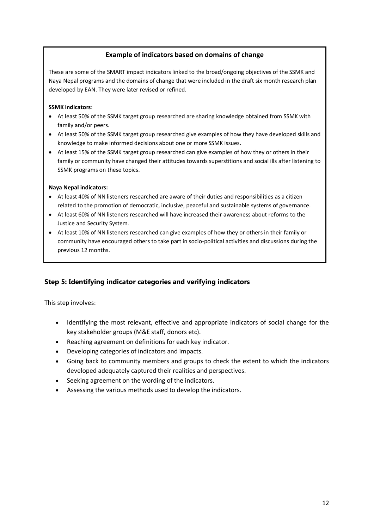# **Example of indicators based on domains of change**

These are some of the SMART impact indicators linked to the broad/ongoing objectives of the SSMK and Naya Nepal programs and the domains of change that were included in the draft six month research plan developed by EAN. They were later revised or refined.

#### **SSMK indicators**:

- At least 50% of the SSMK target group researched are sharing knowledge obtained from SSMK with family and/or peers.
- At least 50% of the SSMK target group researched give examples of how they have developed skills and knowledge to make informed decisions about one or more SSMK issues.
- At least 15% of the SSMK target group researched can give examples of how they or others in their family or community have changed their attitudes towards superstitions and social ills after listening to SSMK programs on these topics.

#### **Naya Nepal indicators:**

- At least 40% of NN listeners researched are aware of their duties and responsibilities as a citizen related to the promotion of democratic, inclusive, peaceful and sustainable systems of governance.
- At least 60% of NN listeners researched will have increased their awareness about reforms to the Justice and Security System.
- At least 10% of NN listeners researched can give examples of how they or others in their family or community have encouraged others to take part in socio-political activities and discussions during the previous 12 months.

# **Step 5: Identifying indicator categories and verifying indicators**

This step involves:

- Identifying the most relevant, effective and appropriate indicators of social change for the key stakeholder groups (M&E staff, donors etc).
- Reaching agreement on definitions for each key indicator.
- Developing categories of indicators and impacts.
- Going back to community members and groups to check the extent to which the indicators developed adequately captured their realities and perspectives.
- Seeking agreement on the wording of the indicators.
- Assessing the various methods used to develop the indicators.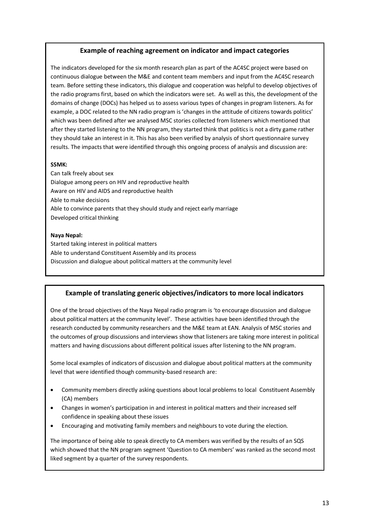### **Example of reaching agreement on indicator and impact categories**

The indicators developed for the six month research plan as part of the AC4SC project were based on continuous dialogue between the M&E and content team members and input from the AC4SC research team. Before setting these indicators, this dialogue and cooperation was helpful to develop objectives of the radio programs first, based on which the indicators were set. As well as this, the development of the domains of change (DOCs) has helped us to assess various types of changes in program listeners. As for example, a DOC related to the NN radio program is 'changes in the attitude of citizens towards politics' which was been defined after we analysed MSC stories collected from listeners which mentioned that after they started listening to the NN program, they started think that politics is not a dirty game rather they should take an interest in it. This has also been verified by analysis of short questionnaire survey results. The impacts that were identified through this ongoing process of analysis and discussion are:

#### **SSMK:**

Can talk freely about sex Dialogue among peers on HIV and reproductive health Aware on HIV and AIDS and reproductive health Able to make decisions Able to convince parents that they should study and reject early marriage Developed critical thinking

#### **Naya Nepal:**

Started taking interest in political matters Able to understand Constituent Assembly and its process Discussion and dialogue about political matters at the community level

### **Example of translating generic objectives/indicators to more local indicators**

One of the broad objectives of the Naya Nepal radio program is 'to encourage discussion and dialogue about political matters at the community level'. These activities have been identified through the research conducted by community researchers and the M&E team at EAN. Analysis of MSC stories and the outcomes of group discussions and interviews show that listeners are taking more interest in political matters and having discussions about different political issues after listening to the NN program.

Some local examples of indicators of discussion and dialogue about political matters at the community level that were identified though community-based research are:

- Community members directly asking questions about local problems to local Constituent Assembly (CA) members
- Changes in women's participation in and interest in political matters and their increased self confidence in speaking about these issues
- Encouraging and motivating family members and neighbours to vote during the election.

The importance of being able to speak directly to CA members was verified by the results of an SQS which showed that the NN program segment 'Question to CA members' was ranked as the second most liked segment by a quarter of the survey respondents.